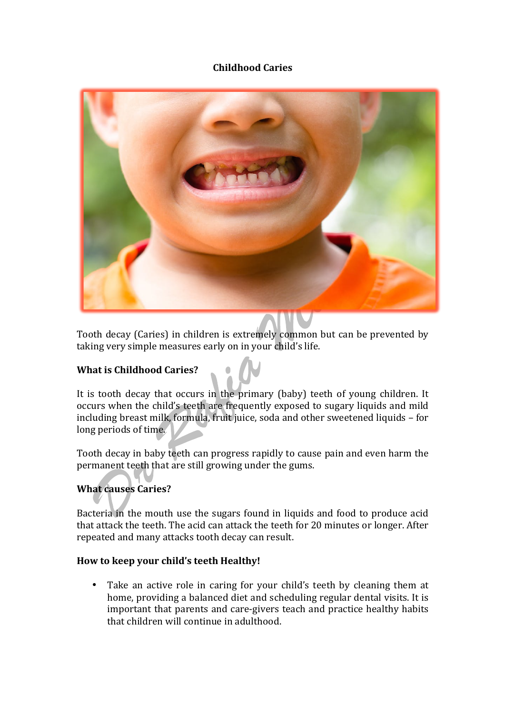## **Childhood Caries**



Tooth decay (Caries) in children is extremely common but can be prevented by taking very simple measures early on in your child's life.

## **What is Childhood Caries?**

It is tooth decay that occurs in the primary (baby) teeth of young children. It occurs when the child's teeth are frequently exposed to sugary liquids and mild including breast milk, formula, fruit juice, soda and other sweetened liquids - for long periods of time.

Tooth decay in baby teeth can progress rapidly to cause pain and even harm the permanent teeth that are still growing under the gums.

## **What causes Caries?**

Bacteria in the mouth use the sugars found in liquids and food to produce acid that attack the teeth. The acid can attack the teeth for 20 minutes or longer. After repeated and many attacks tooth decay can result.

## How to keep your child's teeth Healthy!

• Take an active role in caring for your child's teeth by cleaning them at home, providing a balanced diet and scheduling regular dental visits. It is important that parents and care-givers teach and practice healthy habits that children will continue in adulthood